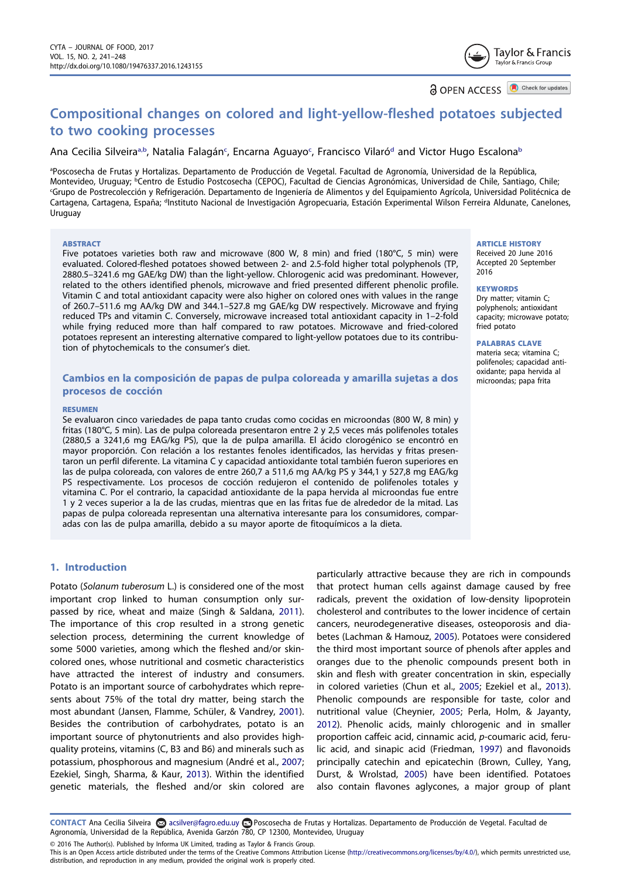Taylor & Francis Taylor & Francis Group

**a** OPEN ACCESS **D** Check for updates

# Compositional changes on colored and light-yellow-fleshed potatoes subjected to two cooking processes

# Ana Cecilia Silveira<sup>a,b</sup>, Natalia Falagán<sup>c</sup>, Encarna Aguayo<sup>c</sup>, Francisco Vilaró<sup>d</sup> and Victor Hugo Escalona<sup>b</sup>

a Poscosecha de Frutas y Hortalizas. Departamento de Producción de Vegetal. Facultad de Agronomía, Universidad de la República, Montevideo, Uruguay; <sup>b</sup>Centro de Estudio Postcosecha (CEPOC), Facultad de Ciencias Agronómicas, Universidad de Chile, Santiago, Chile; c Grupo de Postrecolección y Refrigeración. Departamento de Ingeniería de Alimentos y del Equipamiento Agrícola, Universidad Politécnica de Cartagena, Cartagena, España; <sup>d</sup>Instituto Nacional de Investigación Agropecuaria, Estación Experimental Wilson Ferreira Aldunate, Canelones, **Uruguay** 

#### ABSTRACT

Five potatoes varieties both raw and microwave (800 W, 8 min) and fried (180°C, 5 min) were evaluated. Colored-fleshed potatoes showed between 2- and 2.5-fold higher total polyphenols (TP, 2880.5–3241.6 mg GAE/kg DW) than the light-yellow. Chlorogenic acid was predominant. However, related to the others identified phenols, microwave and fried presented different phenolic profile. Vitamin C and total antioxidant capacity were also higher on colored ones with values in the range of 260.7–511.6 mg AA/kg DW and 344.1–527.8 mg GAE/kg DW respectively. Microwave and frying reduced TPs and vitamin C. Conversely, microwave increased total antioxidant capacity in 1–2-fold while frying reduced more than half compared to raw potatoes. Microwave and fried-colored potatoes represent an interesting alternative compared to light-yellow potatoes due to its contribution of phytochemicals to the consumer's diet.

# Cambios en la composición de papas de pulpa coloreada y amarilla sujetas a dos procesos de cocción

#### RESUMEN

Se evaluaron cinco variedades de papa tanto crudas como cocidas en microondas (800 W, 8 min) y fritas (180°C, 5 min). Las de pulpa coloreada presentaron entre 2 y 2,5 veces más polifenoles totales (2880,5 a 3241,6 mg EAG/kg PS), que la de pulpa amarilla. El ácido clorogénico se encontró en mayor proporción. Con relación a los restantes fenoles identificados, las hervidas y fritas presentaron un perfil diferente. La vitamina C y capacidad antioxidante total también fueron superiores en las de pulpa coloreada, con valores de entre 260,7 a 511,6 mg AA/kg PS y 344,1 y 527,8 mg EAG/kg PS respectivamente. Los procesos de cocción redujeron el contenido de polifenoles totales y vitamina C. Por el contrario, la capacidad antioxidante de la papa hervida al microondas fue entre 1 y 2 veces superior a la de las crudas, mientras que en las fritas fue de alrededor de la mitad. Las papas de pulpa coloreada representan una alternativa interesante para los consumidores, comparadas con las de pulpa amarilla, debido a su mayor aporte de fitoquímicos a la dieta.

# 1. Introduction

Potato (Solanum tuberosum L.) is considered one of the most important crop linked to human consumption only surpassed by rice, wheat and maize (Singh & Saldana, 2011). The importance of this crop resulted in a strong genetic selection process, determining the current knowledge of some 5000 varieties, among which the fleshed and/or skincolored ones, whose nutritional and cosmetic characteristics have attracted the interest of industry and consumers. Potato is an important source of carbohydrates which represents about 75% of the total dry matter, being starch the most abundant (Jansen, Flamme, Schüler, & Vandrey, 2001). Besides the contribution of carbohydrates, potato is an important source of phytonutrients and also provides highquality proteins, vitamins (C, B3 and B6) and minerals such as potassium, phosphorous and magnesium (André et al., 2007; Ezekiel, Singh, Sharma, & Kaur, 2013). Within the identified genetic materials, the fleshed and/or skin colored are

particularly attractive because they are rich in compounds that protect human cells against damage caused by free radicals, prevent the oxidation of low-density lipoprotein cholesterol and contributes to the lower incidence of certain cancers, neurodegenerative diseases, osteoporosis and diabetes (Lachman & Hamouz, 2005). Potatoes were considered the third most important source of phenols after apples and oranges due to the phenolic compounds present both in skin and flesh with greater concentration in skin, especially in colored varieties (Chun et al., 2005; Ezekiel et al., 2013). Phenolic compounds are responsible for taste, color and nutritional value (Cheynier, 2005; Perla, Holm, & Jayanty, 2012). Phenolic acids, mainly chlorogenic and in smaller proportion caffeic acid, cinnamic acid, p-coumaric acid, ferulic acid, and sinapic acid (Friedman, 1997) and flavonoids principally catechin and epicatechin (Brown, Culley, Yang, Durst, & Wrolstad, 2005) have been identified. Potatoes also contain flavones aglycones, a major group of plant

CONTACT Ana Cecilia Silveira acsilver@fagro.edu.uy Poscosecha de Frutas y Hortalizas. Departamento de Producción de Vegetal. Facultad de Agronomía, Universidad de la República, Avenida Garzón 780, CP 12300, Montevideo, Uruguay

This is an Open Access article distributed under the terms of the Creative Commons Attribution License (http://creativecommons.org/licenses/by/4.0/), which permits unrestricted use,

© 2016 The Author(s). Published by Informa UK Limited, trading as Taylor & Francis Group.

distribution, and reproduction in any medium, provided the original work is properly cited.

#### ARTICLE HISTORY

Received 20 June 2016 Accepted 20 September 2016

#### **KEYWORDS**

Dry matter; vitamin C; polyphenols; antioxidant capacity; microwave potato; fried potato

#### PALABRAS CLAVE

materia seca; vitamina C; polifenoles; capacidad antioxidante; papa hervida al microondas; papa frita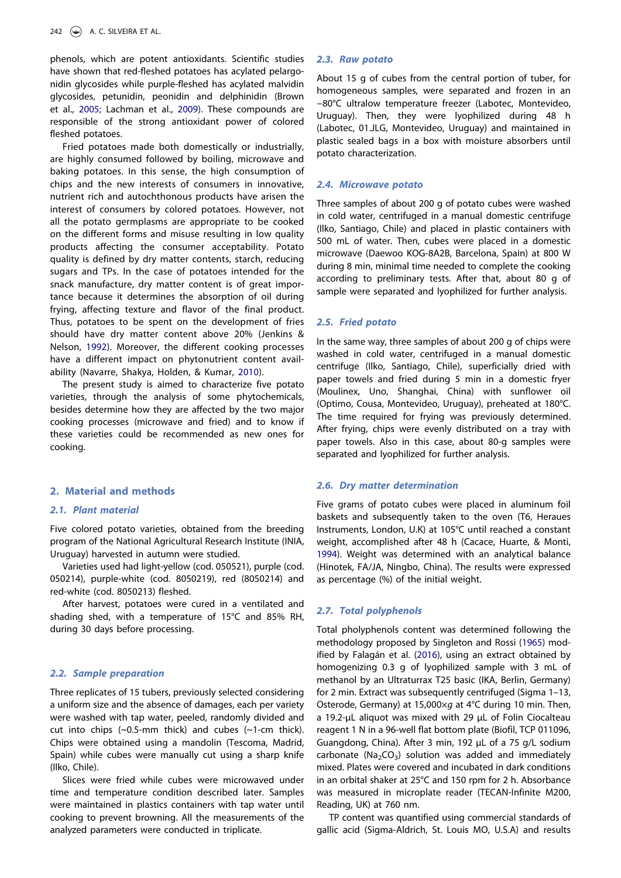phenols, which are potent antioxidants. Scientific studies have shown that red-fleshed potatoes has acylated pelargonidin glycosides while purple-fleshed has acylated malvidin glycosides, petunidin, peonidin and delphinidin (Brown et al., 2005; Lachman et al., 2009). These compounds are responsible of the strong antioxidant power of colored fleshed potatoes.

Fried potatoes made both domestically or industrially, are highly consumed followed by boiling, microwave and baking potatoes. In this sense, the high consumption of chips and the new interests of consumers in innovative, nutrient rich and autochthonous products have arisen the interest of consumers by colored potatoes. However, not all the potato germplasms are appropriate to be cooked on the different forms and misuse resulting in low quality products affecting the consumer acceptability. Potato quality is defined by dry matter contents, starch, reducing sugars and TPs. In the case of potatoes intended for the snack manufacture, dry matter content is of great importance because it determines the absorption of oil during frying, affecting texture and flavor of the final product. Thus, potatoes to be spent on the development of fries should have dry matter content above 20% (Jenkins & Nelson, 1992). Moreover, the different cooking processes have a different impact on phytonutrient content availability (Navarre, Shakya, Holden, & Kumar, 2010).

The present study is aimed to characterize five potato varieties, through the analysis of some phytochemicals, besides determine how they are affected by the two major cooking processes (microwave and fried) and to know if these varieties could be recommended as new ones for cooking.

## 2. Material and methods

# 2.1. Plant material

Five colored potato varieties, obtained from the breeding program of the National Agricultural Research Institute (INIA, Uruguay) harvested in autumn were studied.

Varieties used had light-yellow (cod. 050521), purple (cod. 050214), purple-white (cod. 8050219), red (8050214) and red-white (cod. 8050213) fleshed.

After harvest, potatoes were cured in a ventilated and shading shed, with a temperature of 15°C and 85% RH, during 30 days before processing.

## 2.2. Sample preparation

Three replicates of 15 tubers, previously selected considering a uniform size and the absence of damages, each per variety were washed with tap water, peeled, randomly divided and cut into chips (~0.5-mm thick) and cubes (~1-cm thick). Chips were obtained using a mandolin (Tescoma, Madrid, Spain) while cubes were manually cut using a sharp knife (Ilko, Chile).

Slices were fried while cubes were microwaved under time and temperature condition described later. Samples were maintained in plastics containers with tap water until cooking to prevent browning. All the measurements of the analyzed parameters were conducted in triplicate.

#### 2.3. Raw potato

About 15 g of cubes from the central portion of tuber, for homogeneous samples, were separated and frozen in an −80°C ultralow temperature freezer (Labotec, Montevideo, Uruguay). Then, they were lyophilized during 48 h (Labotec, 01.JLG, Montevideo, Uruguay) and maintained in plastic sealed bags in a box with moisture absorbers until potato characterization.

## 2.4. Microwave potato

Three samples of about 200 g of potato cubes were washed in cold water, centrifuged in a manual domestic centrifuge (Ilko, Santiago, Chile) and placed in plastic containers with 500 mL of water. Then, cubes were placed in a domestic microwave (Daewoo KOG-8A2B, Barcelona, Spain) at 800 W during 8 min, minimal time needed to complete the cooking according to preliminary tests. After that, about 80 g of sample were separated and lyophilized for further analysis.

#### 2.5. Fried potato

In the same way, three samples of about 200 g of chips were washed in cold water, centrifuged in a manual domestic centrifuge (Ilko, Santiago, Chile), superficially dried with paper towels and fried during 5 min in a domestic fryer (Moulinex, Uno, Shanghai, China) with sunflower oil (Optimo, Cousa, Montevideo, Uruguay), preheated at 180°C. The time required for frying was previously determined. After frying, chips were evenly distributed on a tray with paper towels. Also in this case, about 80-g samples were separated and lyophilized for further analysis.

## 2.6. Dry matter determination

Five grams of potato cubes were placed in aluminum foil baskets and subsequently taken to the oven (T6, Heraues Instruments, London, U.K) at 105°C until reached a constant weight, accomplished after 48 h (Cacace, Huarte, & Monti, 1994). Weight was determined with an analytical balance (Hinotek, FA/JA, Ningbo, China). The results were expressed as percentage (%) of the initial weight.

## 2.7. Total polyphenols

Total pholyphenols content was determined following the methodology proposed by Singleton and Rossi (1965) modified by Falagán et al. (2016), using an extract obtained by homogenizing 0.3 g of lyophilized sample with 3 mL of methanol by an Ultraturrax T25 basic (IKA, Berlin, Germany) for 2 min. Extract was subsequently centrifuged (Sigma 1–13, Osterode, Germany) at 15,000 $\times$ q at 4°C during 10 min. Then, a 19.2-µL aliquot was mixed with 29 µL of Folin Ciocalteau reagent 1 N in a 96-well flat bottom plate (Biofil, TCP 011096, Guangdong, China). After 3 min, 192 µL of a 75 g/L sodium carbonate (Na<sub>2</sub>CO<sub>3</sub>) solution was added and immediately mixed. Plates were covered and incubated in dark conditions in an orbital shaker at 25°C and 150 rpm for 2 h. Absorbance was measured in microplate reader (TECAN-Infinite M200, Reading, UK) at 760 nm.

TP content was quantified using commercial standards of gallic acid (Sigma-Aldrich, St. Louis MO, U.S.A) and results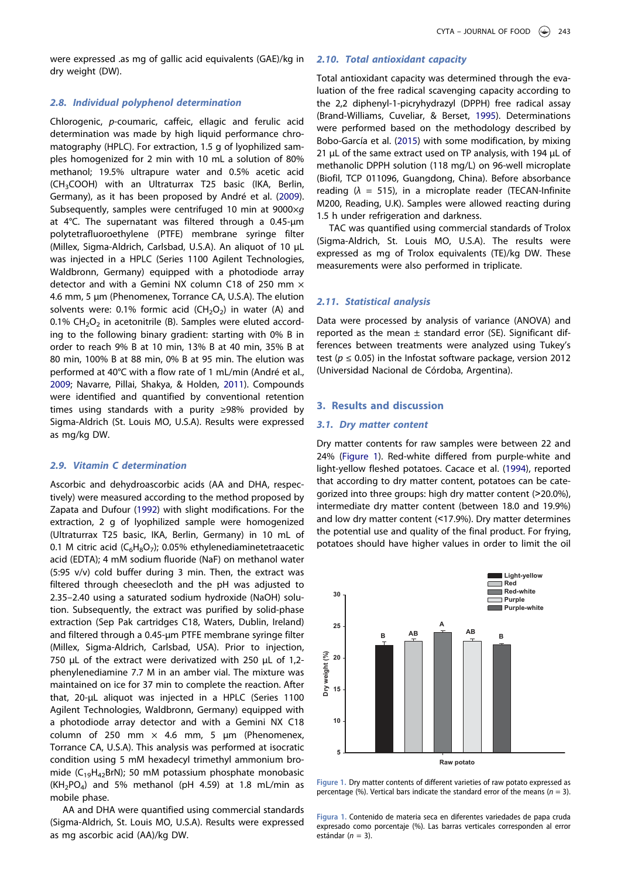were expressed .as mg of gallic acid equivalents (GAE)/kg in dry weight (DW).

#### 2.8. Individual polyphenol determination

Chlorogenic, p-coumaric, caffeic, ellagic and ferulic acid determination was made by high liquid performance chromatography (HPLC). For extraction, 1.5 g of lyophilized samples homogenized for 2 min with 10 mL a solution of 80% methanol; 19.5% ultrapure water and 0.5% acetic acid (CH3COOH) with an Ultraturrax T25 basic (IKA, Berlin, Germany), as it has been proposed by André et al. (2009). Subsequently, samples were centrifuged 10 min at  $9000 \times g$ at 4°C. The supernatant was filtered through a 0.45-µm polytetrafluoroethylene (PTFE) membrane syringe filter (Millex, Sigma-Aldrich, Carlsbad, U.S.A). An aliquot of 10 µL was injected in a HPLC (Series 1100 Agilent Technologies, Waldbronn, Germany) equipped with a photodiode array detector and with a Gemini NX column C18 of 250 mm  $\times$ 4.6 mm, 5 µm (Phenomenex, Torrance CA, U.S.A). The elution solvents were: 0.1% formic acid  $(CH_2O_2)$  in water (A) and  $0.1\%$  CH<sub>2</sub>O<sub>2</sub> in acetonitrile (B). Samples were eluted according to the following binary gradient: starting with 0% B in order to reach 9% B at 10 min, 13% B at 40 min, 35% B at 80 min, 100% B at 88 min, 0% B at 95 min. The elution was performed at 40°C with a flow rate of 1 mL/min (André et al., 2009; Navarre, Pillai, Shakya, & Holden, 2011). Compounds were identified and quantified by conventional retention times using standards with a purity ≥98% provided by Sigma-Aldrich (St. Louis MO, U.S.A). Results were expressed as mg/kg DW.

## 2.9. Vitamin C determination

Ascorbic and dehydroascorbic acids (AA and DHA, respectively) were measured according to the method proposed by Zapata and Dufour (1992) with slight modifications. For the extraction, 2 g of lyophilized sample were homogenized (Ultraturrax T25 basic, IKA, Berlin, Germany) in 10 mL of 0.1 M citric acid ( $C_6H_8O_7$ ); 0.05% ethylenediaminetetraacetic acid (EDTA); 4 mM sodium fluoride (NaF) on methanol water (5:95 v/v) cold buffer during 3 min. Then, the extract was filtered through cheesecloth and the pH was adjusted to 2.35–2.40 using a saturated sodium hydroxide (NaOH) solution. Subsequently, the extract was purified by solid-phase extraction (Sep Pak cartridges C18, Waters, Dublin, Ireland) and filtered through a 0.45-µm PTFE membrane syringe filter (Millex, Sigma-Aldrich, Carlsbad, USA). Prior to injection, 750 µL of the extract were derivatized with 250 µL of 1,2phenylenediamine 7.7 M in an amber vial. The mixture was maintained on ice for 37 min to complete the reaction. After that, 20-µL aliquot was injected in a HPLC (Series 1100 Agilent Technologies, Waldbronn, Germany) equipped with a photodiode array detector and with a Gemini NX C18 column of 250 mm  $\times$  4.6 mm, 5 µm (Phenomenex, Torrance CA, U.S.A). This analysis was performed at isocratic condition using 5 mM hexadecyl trimethyl ammonium bromide (C19H42BrN); 50 mM potassium phosphate monobasic  $(KH_2PO_4)$  and 5% methanol (pH 4.59) at 1.8 mL/min as mobile phase.

AA and DHA were quantified using commercial standards (Sigma-Aldrich, St. Louis MO, U.S.A). Results were expressed as mg ascorbic acid (AA)/kg DW.

# 2.10. Total antioxidant capacity

Total antioxidant capacity was determined through the evaluation of the free radical scavenging capacity according to the 2,2 diphenyl-1-picryhydrazyl (DPPH) free radical assay (Brand-Williams, Cuveliar, & Berset, 1995). Determinations were performed based on the methodology described by Bobo-García et al. (2015) with some modification, by mixing 21  $\mu$ L of the same extract used on TP analysis, with 194  $\mu$ L of methanolic DPPH solution (118 mg/L) on 96-well microplate (Biofil, TCP 011096, Guangdong, China). Before absorbance reading  $(\lambda = 515)$ , in a microplate reader (TECAN-Infinite M200, Reading, U.K). Samples were allowed reacting during 1.5 h under refrigeration and darkness.

TAC was quantified using commercial standards of Trolox (Sigma-Aldrich, St. Louis MO, U.S.A). The results were expressed as mg of Trolox equivalents (TE)/kg DW. These measurements were also performed in triplicate.

# 2.11. Statistical analysis

Data were processed by analysis of variance (ANOVA) and reported as the mean  $\pm$  standard error (SE). Significant differences between treatments were analyzed using Tukey's test ( $p \le 0.05$ ) in the Infostat software package, version 2012 (Universidad Nacional de Córdoba, Argentina).

### 3. Results and discussion

#### 3.1. Dry matter content

Dry matter contents for raw samples were between 22 and 24% (Figure 1). Red-white differed from purple-white and light-yellow fleshed potatoes. Cacace et al. (1994), reported that according to dry matter content, potatoes can be categorized into three groups: high dry matter content (˃20.0%), intermediate dry matter content (between 18.0 and 19.9%) and low dry matter content (˂17.9%). Dry matter determines the potential use and quality of the final product. For frying, potatoes should have higher values in order to limit the oil



Figure 1. Dry matter contents of different varieties of raw potato expressed as percentage (%). Vertical bars indicate the standard error of the means ( $n = 3$ ).

Figura 1. Contenido de materia seca en diferentes variedades de papa cruda expresado como porcentaje (%). Las barras verticales corresponden al error estándar ( $n = 3$ ).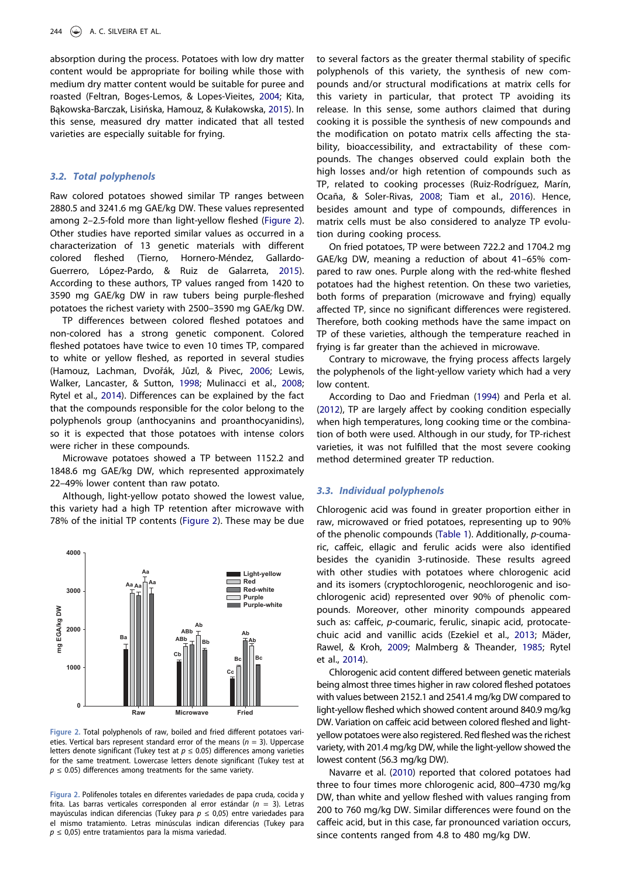absorption during the process. Potatoes with low dry matter content would be appropriate for boiling while those with medium dry matter content would be suitable for puree and roasted (Feltran, Boges-Lemos, & Lopes-Vieites, 2004; Kita, Bąkowska-Barczak, Lisińska, Hamouz, & Kułakowska, 2015). In this sense, measured dry matter indicated that all tested varieties are especially suitable for frying.

## 3.2. Total polyphenols

Raw colored potatoes showed similar TP ranges between 2880.5 and 3241.6 mg GAE/kg DW. These values represented among 2–2.5-fold more than light-yellow fleshed (Figure 2). Other studies have reported similar values as occurred in a characterization of 13 genetic materials with different colored fleshed (Tierno, Hornero-Méndez, Gallardo-Guerrero, López-Pardo, & Ruiz de Galarreta, 2015). According to these authors, TP values ranged from 1420 to 3590 mg GAE/kg DW in raw tubers being purple-fleshed potatoes the richest variety with 2500–3590 mg GAE/kg DW.

TP differences between colored fleshed potatoes and non-colored has a strong genetic component. Colored fleshed potatoes have twice to even 10 times TP, compared to white or yellow fleshed, as reported in several studies (Hamouz, Lachman, Dvořák, Jůzl, & Pivec, 2006; Lewis, Walker, Lancaster, & Sutton, 1998; Mulinacci et al., 2008; Rytel et al., 2014). Differences can be explained by the fact that the compounds responsible for the color belong to the polyphenols group (anthocyanins and proanthocyanidins), so it is expected that those potatoes with intense colors were richer in these compounds.

Microwave potatoes showed a TP between 1152.2 and 1848.6 mg GAE/kg DW, which represented approximately 22–49% lower content than raw potato.

Although, light-yellow potato showed the lowest value, this variety had a high TP retention after microwave with 78% of the initial TP contents (Figure 2). These may be due



Figure 2. Total polyphenols of raw, boiled and fried different potatoes varieties. Vertical bars represent standard error of the means  $(n = 3)$ . Uppercase letters denote significant (Tukey test at  $p \le 0.05$ ) differences among varieties for the same treatment. Lowercase letters denote significant (Tukey test at  $p \leq 0.05$ ) differences among treatments for the same variety.

Figura 2. Polifenoles totales en diferentes variedades de papa cruda, cocida y frita. Las barras verticales corresponden al error estándar ( $n = 3$ ). Letras mayúsculas indican diferencias (Tukey para  $p \le 0.05$ ) entre variedades para el mismo tratamiento. Letras minúsculas indican diferencias (Tukey para  $p \leq 0.05$ ) entre tratamientos para la misma variedad.

to several factors as the greater thermal stability of specific polyphenols of this variety, the synthesis of new compounds and/or structural modifications at matrix cells for this variety in particular, that protect TP avoiding its release. In this sense, some authors claimed that during cooking it is possible the synthesis of new compounds and the modification on potato matrix cells affecting the stability, bioaccessibility, and extractability of these compounds. The changes observed could explain both the high losses and/or high retention of compounds such as TP, related to cooking processes (Ruiz-Rodríguez, Marín, Ocaña, & Soler-Rivas, 2008; Tiam et al., 2016). Hence, besides amount and type of compounds, differences in matrix cells must be also considered to analyze TP evolution during cooking process.

On fried potatoes, TP were between 722.2 and 1704.2 mg GAE/kg DW, meaning a reduction of about 41–65% compared to raw ones. Purple along with the red-white fleshed potatoes had the highest retention. On these two varieties, both forms of preparation (microwave and frying) equally affected TP, since no significant differences were registered. Therefore, both cooking methods have the same impact on TP of these varieties, although the temperature reached in frying is far greater than the achieved in microwave.

Contrary to microwave, the frying process affects largely the polyphenols of the light-yellow variety which had a very low content.

According to Dao and Friedman (1994) and Perla et al. (2012), TP are largely affect by cooking condition especially when high temperatures, long cooking time or the combination of both were used. Although in our study, for TP-richest varieties, it was not fulfilled that the most severe cooking method determined greater TP reduction.

#### 3.3. Individual polyphenols

Chlorogenic acid was found in greater proportion either in raw, microwaved or fried potatoes, representing up to 90% of the phenolic compounds (Table 1). Additionally, p-coumaric, caffeic, ellagic and ferulic acids were also identified besides the cyanidin 3-rutinoside. These results agreed with other studies with potatoes where chlorogenic acid and its isomers (cryptochlorogenic, neochlorogenic and isochlorogenic acid) represented over 90% of phenolic compounds. Moreover, other minority compounds appeared such as: caffeic, p-coumaric, ferulic, sinapic acid, protocatechuic acid and vanillic acids (Ezekiel et al., 2013; Mäder, Rawel, & Kroh, 2009; Malmberg & Theander, 1985; Rytel et al., 2014).

Chlorogenic acid content differed between genetic materials being almost three times higher in raw colored fleshed potatoes with values between 2152.1 and 2541.4 mg/kg DW compared to light-yellow fleshed which showed content around 840.9 mg/kg DW. Variation on caffeic acid between colored fleshed and lightyellow potatoes were also registered. Red fleshed was the richest variety, with 201.4 mg/kg DW, while the light-yellow showed the lowest content (56.3 mg/kg DW).

Navarre et al. (2010) reported that colored potatoes had three to four times more chlorogenic acid, 800–4730 mg/kg DW, than white and yellow fleshed with values ranging from 200 to 760 mg/kg DW. Similar differences were found on the caffeic acid, but in this case, far pronounced variation occurs, since contents ranged from 4.8 to 480 mg/kg DW.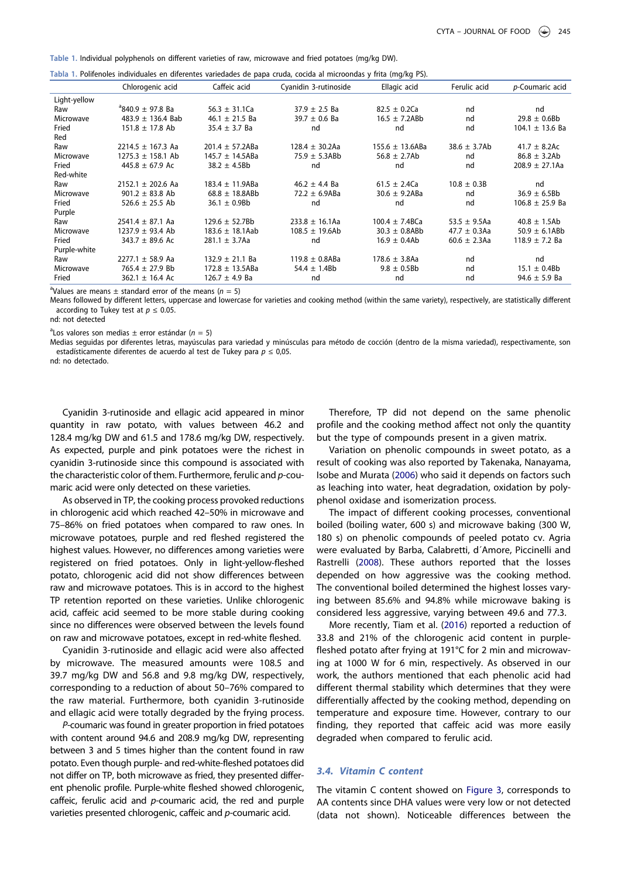Table 1. Individual polyphenols on different varieties of raw, microwave and fried potatoes (mg/kg DW).

|              | Chlorogenic acid        | Caffeic acid         | Cyanidin 3-rutinoside | Ellagic acid         | Ferulic acid      | p-Coumaric acid     |
|--------------|-------------------------|----------------------|-----------------------|----------------------|-------------------|---------------------|
| Light-yellow |                         |                      |                       |                      |                   |                     |
| Raw          | $^{a}840.9 \pm 97.8$ Ba | 56.3 $\pm$ 31.1Ca    | $37.9 \pm 2.5$ Ba     | $82.5 \pm 0.2$ Ca    | nd                | nd                  |
| Microwave    | 483.9 $\pm$ 136.4 Bab   | 46.1 $\pm$ 21.5 Ba   | $39.7 \pm 0.6$ Ba     | $16.5 \pm 7.2$ ABb   | nd                | $29.8 \pm 0.6B$     |
| Fried        | $151.8 \pm 17.8$ Ab     | $35.4 \pm 3.7$ Ba    | nd                    | nd                   | nd                | $104.1 \pm 13.6$ Ba |
| Red          |                         |                      |                       |                      |                   |                     |
| Raw          | $2214.5 \pm 167.3$ Aa   | $201.4 \pm 57.2ABa$  | $128.4 \pm 30.2$ Aa   | $155.6 \pm 13.6$ ABa | $38.6 \pm 3.7Ab$  | $41.7 \pm 8.2$ Ac   |
| Microwave    | $1275.3 \pm 158.1$ Ab   | 145.7 $\pm$ 14.5ABa  | $75.9 \pm 5.3$ ABb    | $56.8 \pm 2.7Ab$     | nd                | $86.8 \pm 3.2$ Ab   |
| Fried        | $445.8 \pm 67.9$ Ac     | $38.2 \pm 4.5Bb$     | nd                    | nd                   | nd                | $208.9 \pm 27.1$ Aa |
| Red-white    |                         |                      |                       |                      |                   |                     |
| Raw          | $2152.1 \pm 202.6$ Aa   | $183.4 \pm 11.9ABa$  | $46.2 \pm 4.4$ Ba     | $61.5 \pm 2.4$ Ca    | $10.8 \pm 0.3B$   | nd                  |
| Microwave    | $901.2 \pm 83.8$ Ab     | $68.8 \pm 18.8$ ABb  | $72.2 \pm 6.9$ ABa    | $30.6 \pm 9.2$ ABa   | nd                | $36.9 \pm 6.5$ Bb   |
| Fried        | 526.6 $\pm$ 25.5 Ab     | $36.1 \pm 0.9Bb$     | nd                    | nd                   | nd                | $106.8 \pm 25.9$ Ba |
| Purple       |                         |                      |                       |                      |                   |                     |
| Raw          | $2541.4 \pm 87.1$ Aa    | $129.6 \pm 52.7Bb$   | $233.8 \pm 16.1$ Aa   | $100.4 \pm 7.4BCa$   | $53.5 \pm 9.5$ Aa | $40.8 \pm 1.5$ Ab   |
| Microwave    | $1237.9 \pm 93.4$ Ab    | $183.6 \pm 18.1$ Aab | $108.5 \pm 19.6$ Ab   | $30.3 \pm 0.8$ ABb   | $47.7 \pm 0.3$ Aa | $50.9 \pm 6.1$ ABb  |
| Fried        | 343.7 $\pm$ 89.6 Ac     | $281.1 \pm 3.7$ Aa   | nd                    | $16.9 \pm 0.4$ Ab    | $60.6 \pm 2.3$ Aa | $118.9 \pm 7.2$ Ba  |
| Purple-white |                         |                      |                       |                      |                   |                     |
| Raw          | $2277.1 + 58.9$ Aa      | $132.9 \pm 21.1$ Ba  | $119.8 \pm 0.8$ ABa   | $178.6 \pm 3.8$ Aa   | nd                | nd                  |
| Microwave    | $765.4 \pm 27.9$ Bb     | $172.8 \pm 13.5ABa$  | $54.4 \pm 1.4Bb$      | $9.8 \pm 0.5$ Bb     | nd                | $15.1 \pm 0.4Bb$    |
| Fried        | $362.1 \pm 16.4$ Ac     | $126.7 \pm 4.9$ Ba   | nd                    | nd                   | nd                | 94.6 $\pm$ 5.9 Ba   |
| а., .        |                         |                      |                       |                      |                   |                     |

<sup>a</sup>Values are means  $\pm$  standard error of the means ( $n = 5$ )

Means followed by different letters, uppercase and lowercase for varieties and cooking method (within the same variety), respectively, are statistically different according to Tukey test at  $p \leq 0.05$ .

nd: not detected

<sup>a</sup> Los valores son medias  $\pm$  error estándar (n = 5)

Medias seguidas por diferentes letras, mayúsculas para variedad y minúsculas para método de cocción (dentro de la misma variedad), respectivamente, son estadísticamente diferentes de acuerdo al test de Tukey para  $p \leq 0.05$ .

nd: no detectado.

Cyanidin 3-rutinoside and ellagic acid appeared in minor quantity in raw potato, with values between 46.2 and 128.4 mg/kg DW and 61.5 and 178.6 mg/kg DW, respectively. As expected, purple and pink potatoes were the richest in cyanidin 3-rutinoside since this compound is associated with the characteristic color of them. Furthermore, ferulic and p-coumaric acid were only detected on these varieties.

As observed in TP, the cooking process provoked reductions in chlorogenic acid which reached 42–50% in microwave and 75–86% on fried potatoes when compared to raw ones. In microwave potatoes, purple and red fleshed registered the highest values. However, no differences among varieties were registered on fried potatoes. Only in light-yellow-fleshed potato, chlorogenic acid did not show differences between raw and microwave potatoes. This is in accord to the highest TP retention reported on these varieties. Unlike chlorogenic acid, caffeic acid seemed to be more stable during cooking since no differences were observed between the levels found on raw and microwave potatoes, except in red-white fleshed.

Cyanidin 3-rutinoside and ellagic acid were also affected by microwave. The measured amounts were 108.5 and 39.7 mg/kg DW and 56.8 and 9.8 mg/kg DW, respectively, corresponding to a reduction of about 50–76% compared to the raw material. Furthermore, both cyanidin 3-rutinoside and ellagic acid were totally degraded by the frying process.

P-coumaric was found in greater proportion in fried potatoes with content around 94.6 and 208.9 mg/kg DW, representing between 3 and 5 times higher than the content found in raw potato. Even though purple- and red-white-fleshed potatoes did not differ on TP, both microwave as fried, they presented different phenolic profile. Purple-white fleshed showed chlorogenic, caffeic, ferulic acid and p-coumaric acid, the red and purple varieties presented chlorogenic, caffeic and p-coumaric acid.

Therefore, TP did not depend on the same phenolic profile and the cooking method affect not only the quantity but the type of compounds present in a given matrix.

Variation on phenolic compounds in sweet potato, as a result of cooking was also reported by Takenaka, Nanayama, Isobe and Murata (2006) who said it depends on factors such as leaching into water, heat degradation, oxidation by polyphenol oxidase and isomerization process.

The impact of different cooking processes, conventional boiled (boiling water, 600 s) and microwave baking (300 W, 180 s) on phenolic compounds of peeled potato cv. Agria were evaluated by Barba, Calabretti, d´Amore, Piccinelli and Rastrelli (2008). These authors reported that the losses depended on how aggressive was the cooking method. The conventional boiled determined the highest losses varying between 85.6% and 94.8% while microwave baking is considered less aggressive, varying between 49.6 and 77.3.

More recently, Tiam et al. (2016) reported a reduction of 33.8 and 21% of the chlorogenic acid content in purplefleshed potato after frying at 191°C for 2 min and microwaving at 1000 W for 6 min, respectively. As observed in our work, the authors mentioned that each phenolic acid had different thermal stability which determines that they were differentially affected by the cooking method, depending on temperature and exposure time. However, contrary to our finding, they reported that caffeic acid was more easily degraded when compared to ferulic acid.

#### 3.4. Vitamin C content

The vitamin C content showed on Figure 3, corresponds to AA contents since DHA values were very low or not detected (data not shown). Noticeable differences between the

Tabla 1. Polifenoles individuales en diferentes variedades de papa cruda, cocida al microondas y frita (mg/kg PS).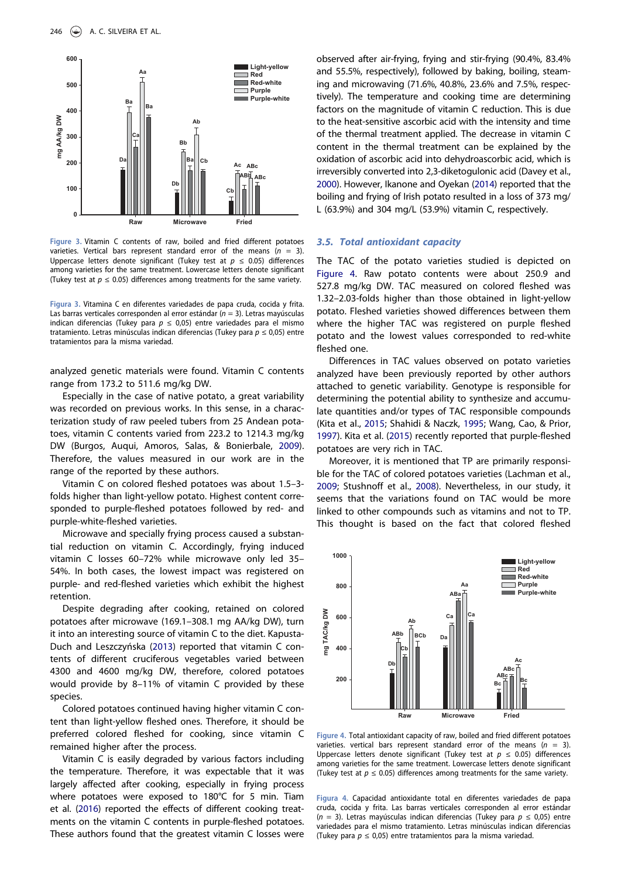

Figure 3. Vitamin C contents of raw, boiled and fried different potatoes varieties. Vertical bars represent standard error of the means ( $n = 3$ ). Uppercase letters denote significant (Tukey test at  $p \leq 0.05$ ) differences among varieties for the same treatment. Lowercase letters denote significant (Tukey test at  $p \le 0.05$ ) differences among treatments for the same variety.

Figura 3. Vitamina C en diferentes variedades de papa cruda, cocida y frita. Las barras verticales corresponden al error estándar ( $n = 3$ ). Letras mavúsculas indican diferencias (Tukey para  $p \le 0.05$ ) entre variedades para el mismo tratamiento. Letras minúsculas indican diferencias (Tukey para  $p \le 0.05$ ) entre tratamientos para la misma variedad.

analyzed genetic materials were found. Vitamin C contents range from 173.2 to 511.6 mg/kg DW.

Especially in the case of native potato, a great variability was recorded on previous works. In this sense, in a characterization study of raw peeled tubers from 25 Andean potatoes, vitamin C contents varied from 223.2 to 1214.3 mg/kg DW (Burgos, Auqui, Amoros, Salas, & Bonierbale, 2009). Therefore, the values measured in our work are in the range of the reported by these authors.

Vitamin C on colored fleshed potatoes was about 1.5–3 folds higher than light-yellow potato. Highest content corresponded to purple-fleshed potatoes followed by red- and purple-white-fleshed varieties.

Microwave and specially frying process caused a substantial reduction on vitamin C. Accordingly, frying induced vitamin C losses 60–72% while microwave only led 35– 54%. In both cases, the lowest impact was registered on purple- and red-fleshed varieties which exhibit the highest retention.

Despite degrading after cooking, retained on colored potatoes after microwave (169.1–308.1 mg AA/kg DW), turn it into an interesting source of vitamin C to the diet. Kapusta-Duch and Leszczyńska (2013) reported that vitamin C contents of different cruciferous vegetables varied between 4300 and 4600 mg/kg DW, therefore, colored potatoes would provide by 8–11% of vitamin C provided by these species.

Colored potatoes continued having higher vitamin C content than light-yellow fleshed ones. Therefore, it should be preferred colored fleshed for cooking, since vitamin C remained higher after the process.

Vitamin C is easily degraded by various factors including the temperature. Therefore, it was expectable that it was largely affected after cooking, especially in frying process where potatoes were exposed to 180°C for 5 min. Tiam et al. (2016) reported the effects of different cooking treatments on the vitamin C contents in purple-fleshed potatoes. These authors found that the greatest vitamin C losses were

observed after air-frying, frying and stir-frying (90.4%, 83.4% and 55.5%, respectively), followed by baking, boiling, steaming and microwaving (71.6%, 40.8%, 23.6% and 7.5%, respectively). The temperature and cooking time are determining factors on the magnitude of vitamin C reduction. This is due to the heat-sensitive ascorbic acid with the intensity and time of the thermal treatment applied. The decrease in vitamin C content in the thermal treatment can be explained by the oxidation of ascorbic acid into dehydroascorbic acid, which is irreversibly converted into 2,3-diketogulonic acid (Davey et al., 2000). However, Ikanone and Oyekan (2014) reported that the boiling and frying of Irish potato resulted in a loss of 373 mg/ L (63.9%) and 304 mg/L (53.9%) vitamin C, respectively.

#### 3.5. Total antioxidant capacity

The TAC of the potato varieties studied is depicted on Figure 4. Raw potato contents were about 250.9 and 527.8 mg/kg DW. TAC measured on colored fleshed was 1.32–2.03-folds higher than those obtained in light-yellow potato. Fleshed varieties showed differences between them where the higher TAC was registered on purple fleshed potato and the lowest values corresponded to red-white fleshed one.

Differences in TAC values observed on potato varieties analyzed have been previously reported by other authors attached to genetic variability. Genotype is responsible for determining the potential ability to synthesize and accumulate quantities and/or types of TAC responsible compounds (Kita et al., 2015; Shahidi & Naczk, 1995; Wang, Cao, & Prior, 1997). Kita et al. (2015) recently reported that purple-fleshed potatoes are very rich in TAC.

Moreover, it is mentioned that TP are primarily responsible for the TAC of colored potatoes varieties (Lachman et al., 2009; Stushnoff et al., 2008). Nevertheless, in our study, it seems that the variations found on TAC would be more linked to other compounds such as vitamins and not to TP. This thought is based on the fact that colored fleshed



Figure 4. Total antioxidant capacity of raw, boiled and fried different potatoes varieties. vertical bars represent standard error of the means ( $n = 3$ ). Uppercase letters denote significant (Tukey test at  $p \leq 0.05$ ) differences among varieties for the same treatment. Lowercase letters denote significant (Tukey test at  $p \leq 0.05$ ) differences among treatments for the same variety.

Figura 4. Capacidad antioxidante total en diferentes variedades de papa cruda, cocida y frita. Las barras verticales corresponden al error estándar (n = 3). Letras mayúsculas indican diferencias (Tukey para  $p \le 0.05$ ) entre variedades para el mismo tratamiento. Letras minúsculas indican diferencias (Tukey para  $p \le 0.05$ ) entre tratamientos para la misma variedad.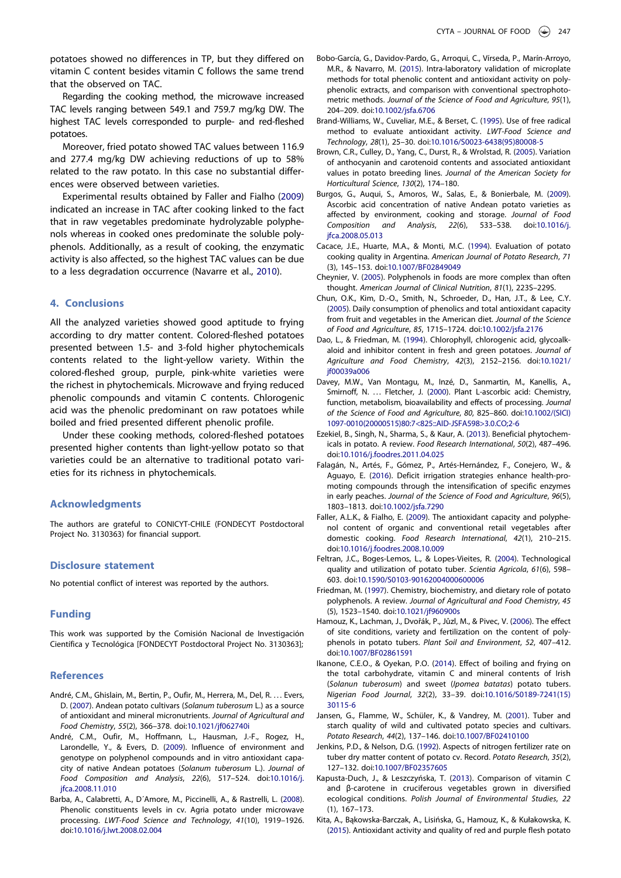potatoes showed no differences in TP, but they differed on vitamin C content besides vitamin C follows the same trend that the observed on TAC.

Regarding the cooking method, the microwave increased TAC levels ranging between 549.1 and 759.7 mg/kg DW. The highest TAC levels corresponded to purple- and red-fleshed potatoes.

Moreover, fried potato showed TAC values between 116.9 and 277.4 mg/kg DW achieving reductions of up to 58% related to the raw potato. In this case no substantial differences were observed between varieties.

Experimental results obtained by Faller and Fialho (2009) indicated an increase in TAC after cooking linked to the fact that in raw vegetables predominate hydrolyzable polyphenols whereas in cooked ones predominate the soluble polyphenols. Additionally, as a result of cooking, the enzymatic activity is also affected, so the highest TAC values can be due to a less degradation occurrence (Navarre et al., 2010).

### 4. Conclusions

All the analyzed varieties showed good aptitude to frying according to dry matter content. Colored-fleshed potatoes presented between 1.5- and 3-fold higher phytochemicals contents related to the light-yellow variety. Within the colored-fleshed group, purple, pink-white varieties were the richest in phytochemicals. Microwave and frying reduced phenolic compounds and vitamin C contents. Chlorogenic acid was the phenolic predominant on raw potatoes while boiled and fried presented different phenolic profile.

Under these cooking methods, colored-fleshed potatoes presented higher contents than light-yellow potato so that varieties could be an alternative to traditional potato varieties for its richness in phytochemicals.

#### Acknowledgments

The authors are grateful to CONICYT-CHILE (FONDECYT Postdoctoral Project No. 3130363) for financial support.

# Disclosure statement

No potential conflict of interest was reported by the authors.

## Funding

This work was supported by the Comisión Nacional de Investigación Científica y Tecnológica [FONDECYT Postdoctoral Project No. 3130363];

#### References

- André, C.M., Ghislain, M., Bertin, P., Oufir, M., Herrera, M., Del, R. . . . Evers, D. (2007). Andean potato cultivars (Solanum tuberosum L.) as a source of antioxidant and mineral micronutrients. Journal of Agricultural and Food Chemistry, 55(2), 366–378. doi:10.1021/jf062740i
- André, C.M., Oufir, M., Hoffmann, L., Hausman, J.-F., Rogez, H., Larondelle, Y., & Evers, D. (2009). Influence of environment and genotype on polyphenol compounds and in vitro antioxidant capacity of native Andean potatoes (Solanum tuberosum L.). Journal of Food Composition and Analysis, 22(6), 517–524. doi:10.1016/j. jfca.2008.11.010
- Barba, A., Calabretti, A., D´Amore, M., Piccinelli, A., & Rastrelli, L. (2008). Phenolic constituents levels in cv. Agria potato under microwave processing. LWT-Food Science and Technology, 41(10), 1919–1926. doi:10.1016/j.lwt.2008.02.004
- Bobo-García, G., Davidov-Pardo, G., Arroqui, C., Vírseda, P., Marín-Arroyo, M.R., & Navarro, M. (2015). Intra-laboratory validation of microplate methods for total phenolic content and antioxidant activity on polyphenolic extracts, and comparison with conventional spectrophotometric methods. Journal of the Science of Food and Agriculture, 95(1), 204–209. doi:10.1002/jsfa.6706
- Brand-Williams, W., Cuveliar, M.E., & Berset, C. (1995). Use of free radical method to evaluate antioxidant activity. LWT-Food Science and Technology, 28(1), 25–30. doi:10.1016/S0023-6438(95)80008-5
- Brown, C.R., Culley, D., Yang, C., Durst, R., & Wrolstad, R. (2005). Variation of anthocyanin and carotenoid contents and associated antioxidant values in potato breeding lines. Journal of the American Society for Horticultural Science, 130(2), 174–180.
- Burgos, G., Auqui, S., Amoros, W., Salas, E., & Bonierbale, M. (2009). Ascorbic acid concentration of native Andean potato varieties as affected by environment, cooking and storage. Journal of Food Composition and Analysis, 22(6), 533–538. doi:10.1016/j. jfca.2008.05.013
- Cacace, J.E., Huarte, M.A., & Monti, M.C. (1994). Evaluation of potato cooking quality in Argentina. American Journal of Potato Research, 71 (3), 145–153. doi:10.1007/BF02849049
- Cheynier, V. (2005). Polyphenols in foods are more complex than often thought. American Journal of Clinical Nutrition, 81(1), 223S–229S.
- Chun, O.K., Kim, D.-O., Smith, N., Schroeder, D., Han, J.T., & Lee, C.Y. (2005). Daily consumption of phenolics and total antioxidant capacity from fruit and vegetables in the American diet. Journal of the Science of Food and Agriculture, 85, 1715–1724. doi:10.1002/jsfa.2176
- Dao, L., & Friedman, M. (1994). Chlorophyll, chlorogenic acid, glycoalkaloid and inhibitor content in fresh and green potatoes. Journal of Agriculture and Food Chemistry, 42(3), 2152–2156. doi:10.1021/ if00039a006
- Davey, M.W., Van Montagu, M., Inzé, D., Sanmartin, M., Kanellis, A., Smirnoff, N. ... Fletcher, J. (2000). Plant L-ascorbic acid: Chemistry, function, metabolism, bioavailability and effects of processing. Journal of the Science of Food and Agriculture, 80, 825–860. doi:10.1002/(SICI) 1097-0010(20000515)80:7<825::AID-JSFA598>3.0.CO;2-6
- Ezekiel, B., Singh, N., Sharma, S., & Kaur, A. (2013). Beneficial phytochemicals in potato. A review. Food Research International, 50(2), 487–496. doi:10.1016/j.foodres.2011.04.025
- Falagán, N., Artés, F., Gómez, P., Artés-Hernández, F., Conejero, W., & Aguayo, E. (2016). Deficit irrigation strategies enhance health-promoting compounds through the intensification of specific enzymes in early peaches. Journal of the Science of Food and Agriculture, 96(5), 1803–1813. doi:10.1002/jsfa.7290
- Faller, A.L.K., & Fialho, E. (2009). The antioxidant capacity and polyphenol content of organic and conventional retail vegetables after domestic cooking. Food Research International, 42(1), 210–215. doi:10.1016/j.foodres.2008.10.009
- Feltran, J.C., Boges-Lemos, L., & Lopes-Vieites, R. (2004). Technological quality and utilization of potato tuber. Scientia Agricola, 61(6), 598– 603. doi:10.1590/S0103-90162004000600006
- Friedman, M. (1997). Chemistry, biochemistry, and dietary role of potato polyphenols. A review. Journal of Agricultural and Food Chemistry, 45 (5), 1523–1540. doi:10.1021/jf960900s
- Hamouz, K., Lachman, J., Dvořák, P., Jůzl, M., & Pivec, V. (2006). The effect of site conditions, variety and fertilization on the content of polyphenols in potato tubers. Plant Soil and Environment, 52, 407–412. doi:10.1007/BF02861591
- Ikanone, C.E.O., & Oyekan, P.O. (2014). Effect of boiling and frying on the total carbohydrate, vitamin C and mineral contents of Irish (Solanun tuberosum) and sweet (Ipomea batatas) potato tubers. Nigerian Food Journal, 32(2), 33–39. doi:10.1016/S0189-7241(15) 30115-6
- Jansen, G., Flamme, W., Schüler, K., & Vandrey, M. (2001). Tuber and starch quality of wild and cultivated potato species and cultivars. Potato Research, 44(2), 137–146. doi:10.1007/BF02410100
- Jenkins, P.D., & Nelson, D.G. (1992). Aspects of nitrogen fertilizer rate on tuber dry matter content of potato cv. Record. Potato Research, 35(2), 127–132. doi:10.1007/BF02357605
- Kapusta-Duch, J., & Leszczyńska, T. (2013). Comparison of vitamin C and β-carotene in cruciferous vegetables grown in diversified ecological conditions. Polish Journal of Environmental Studies, 22 (1), 167–173.
- Kita, A., Bąkowska-Barczak, A., Lisińska, G., Hamouz, K., & Kułakowska, K. (2015). Antioxidant activity and quality of red and purple flesh potato